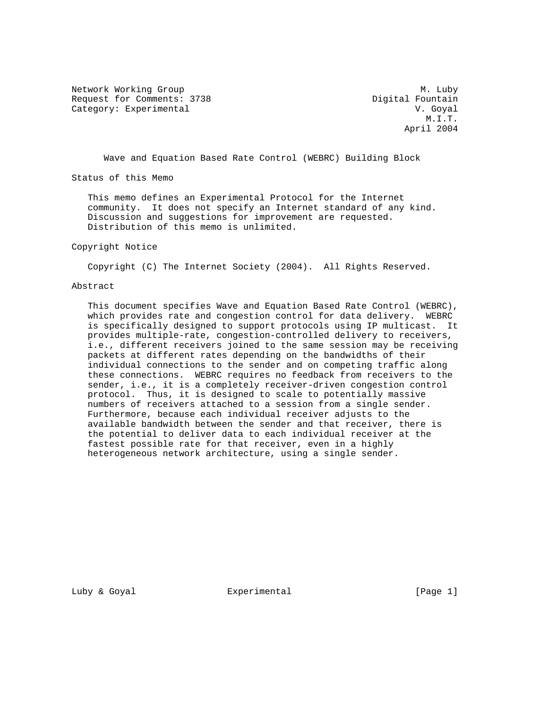Network Working Group Methods and Methods Methods Methods Methods Methods Methods Methods Methods Methods Methods Methods Methods Methods Methods Methods Methods Methods Methods Methods Methods Methods Methods Methods Meth Request for Comments: 3738 Digital Fountain Category: Experimental V. Goyal

 M.I.T. April 2004

Wave and Equation Based Rate Control (WEBRC) Building Block

Status of this Memo

 This memo defines an Experimental Protocol for the Internet community. It does not specify an Internet standard of any kind. Discussion and suggestions for improvement are requested. Distribution of this memo is unlimited.

#### Copyright Notice

Copyright (C) The Internet Society (2004). All Rights Reserved.

### Abstract

 This document specifies Wave and Equation Based Rate Control (WEBRC), which provides rate and congestion control for data delivery. WEBRC is specifically designed to support protocols using IP multicast. It provides multiple-rate, congestion-controlled delivery to receivers, i.e., different receivers joined to the same session may be receiving packets at different rates depending on the bandwidths of their individual connections to the sender and on competing traffic along these connections. WEBRC requires no feedback from receivers to the sender, i.e., it is a completely receiver-driven congestion control protocol. Thus, it is designed to scale to potentially massive numbers of receivers attached to a session from a single sender. Furthermore, because each individual receiver adjusts to the available bandwidth between the sender and that receiver, there is the potential to deliver data to each individual receiver at the fastest possible rate for that receiver, even in a highly heterogeneous network architecture, using a single sender.

Luby & Goyal **Experimental** Experimental [Page 1]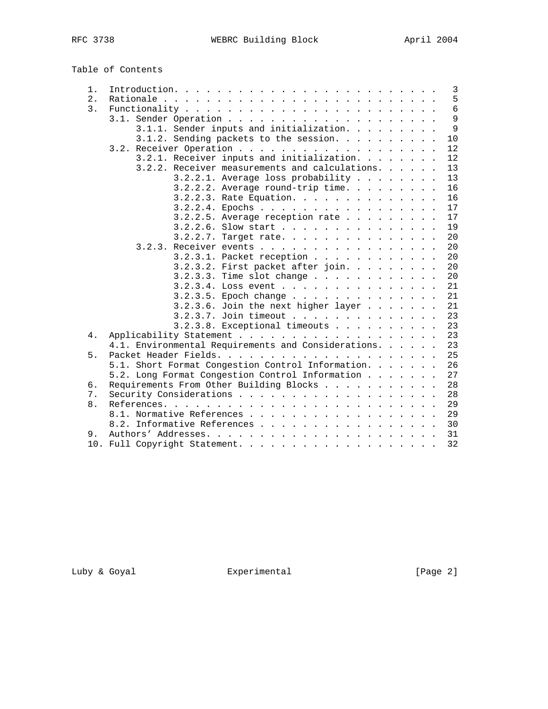Table of Contents

| 1.<br>2. |                                                     |  |
|----------|-----------------------------------------------------|--|
| 3.       |                                                     |  |
|          |                                                     |  |
|          | 3.1.1. Sender inputs and initialization.            |  |
|          | 3.1.2. Sending packets to the session.              |  |
|          |                                                     |  |
|          | 3.2.1. Receiver inputs and initialization.          |  |
|          | 3.2.2. Receiver measurements and calculations.      |  |
|          | 3.2.2.1. Average loss probability                   |  |
|          | $3.2.2.2$ . Average round-trip time.                |  |
|          | 3.2.2.3. Rate Equation.                             |  |
|          | 3.2.2.4. Epochs                                     |  |
|          | $3.2.2.5$ . Average reception rate                  |  |
|          | 3.2.2.6. Slow start                                 |  |
|          |                                                     |  |
|          | 3.2.2.7. Target rate.                               |  |
|          | 3.2.3. Receiver events                              |  |
|          | 3.2.3.1. Packet reception                           |  |
|          | 3.2.3.2. First packet after join.                   |  |
|          | 3.2.3.3. Time slot change                           |  |
|          | $3.2.3.4$ . Loss event                              |  |
|          | 3.2.3.5. Epoch change                               |  |
|          | $3.2.3.6.$ Join the next higher layer               |  |
|          | 3.2.3.7. Join timeout                               |  |
|          | 3.2.3.8. Exceptional timeouts                       |  |
| 4.       |                                                     |  |
|          | 4.1. Environmental Requirements and Considerations. |  |
| 5.       |                                                     |  |
|          | 5.1. Short Format Congestion Control Information.   |  |
|          | 5.2. Long Format Congestion Control Information     |  |
| б.       | Requirements From Other Building Blocks             |  |
| 7.       |                                                     |  |
| 8.       |                                                     |  |
|          |                                                     |  |
|          | 8.2. Informative References                         |  |
|          |                                                     |  |

Luby & Goyal **Experimental** Experimental [Page 2]

10. Full Copyright Statement. . . . . . . . . . . . . . . . . . . 32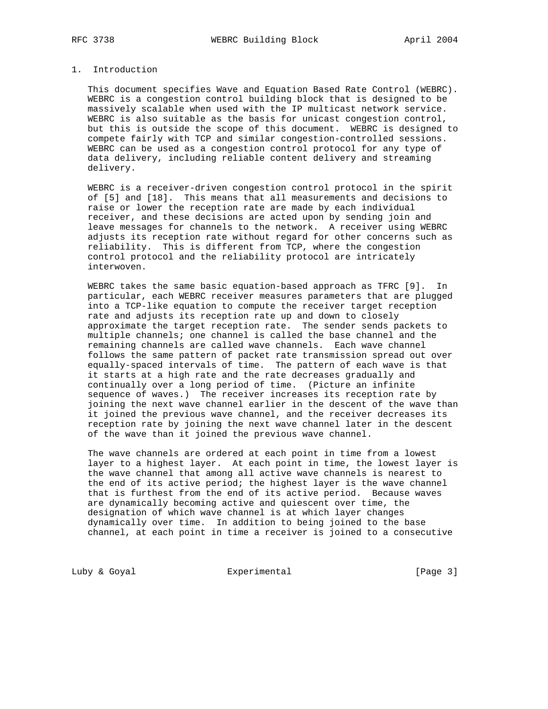## 1. Introduction

 This document specifies Wave and Equation Based Rate Control (WEBRC). WEBRC is a congestion control building block that is designed to be massively scalable when used with the IP multicast network service. WEBRC is also suitable as the basis for unicast congestion control, but this is outside the scope of this document. WEBRC is designed to compete fairly with TCP and similar congestion-controlled sessions. WEBRC can be used as a congestion control protocol for any type of data delivery, including reliable content delivery and streaming delivery.

 WEBRC is a receiver-driven congestion control protocol in the spirit of [5] and [18]. This means that all measurements and decisions to raise or lower the reception rate are made by each individual receiver, and these decisions are acted upon by sending join and leave messages for channels to the network. A receiver using WEBRC adjusts its reception rate without regard for other concerns such as reliability. This is different from TCP, where the congestion control protocol and the reliability protocol are intricately interwoven.

 WEBRC takes the same basic equation-based approach as TFRC [9]. In particular, each WEBRC receiver measures parameters that are plugged into a TCP-like equation to compute the receiver target reception rate and adjusts its reception rate up and down to closely approximate the target reception rate. The sender sends packets to multiple channels; one channel is called the base channel and the remaining channels are called wave channels. Each wave channel follows the same pattern of packet rate transmission spread out over equally-spaced intervals of time. The pattern of each wave is that it starts at a high rate and the rate decreases gradually and continually over a long period of time. (Picture an infinite sequence of waves.) The receiver increases its reception rate by joining the next wave channel earlier in the descent of the wave than it joined the previous wave channel, and the receiver decreases its reception rate by joining the next wave channel later in the descent of the wave than it joined the previous wave channel.

 The wave channels are ordered at each point in time from a lowest layer to a highest layer. At each point in time, the lowest layer is the wave channel that among all active wave channels is nearest to the end of its active period; the highest layer is the wave channel that is furthest from the end of its active period. Because waves are dynamically becoming active and quiescent over time, the designation of which wave channel is at which layer changes dynamically over time. In addition to being joined to the base channel, at each point in time a receiver is joined to a consecutive

Luby & Goyal **Experimental** Experimental [Page 3]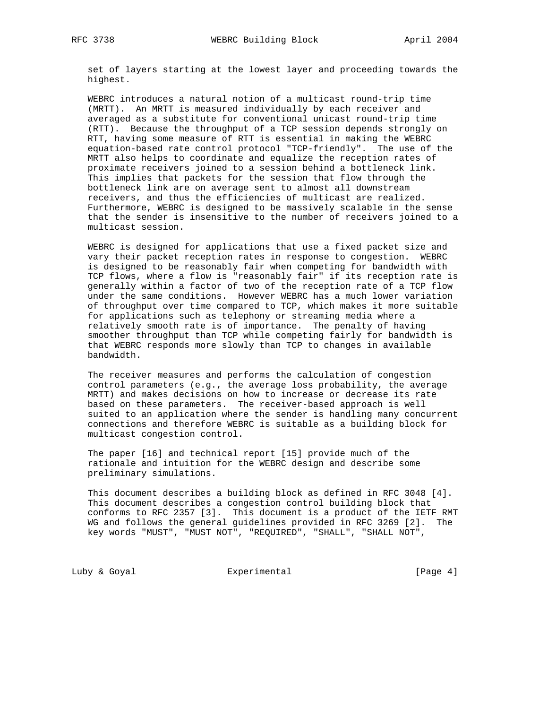set of layers starting at the lowest layer and proceeding towards the highest.

 WEBRC introduces a natural notion of a multicast round-trip time (MRTT). An MRTT is measured individually by each receiver and averaged as a substitute for conventional unicast round-trip time (RTT). Because the throughput of a TCP session depends strongly on RTT, having some measure of RTT is essential in making the WEBRC equation-based rate control protocol "TCP-friendly". The use of the MRTT also helps to coordinate and equalize the reception rates of proximate receivers joined to a session behind a bottleneck link. This implies that packets for the session that flow through the bottleneck link are on average sent to almost all downstream receivers, and thus the efficiencies of multicast are realized. Furthermore, WEBRC is designed to be massively scalable in the sense that the sender is insensitive to the number of receivers joined to a multicast session.

 WEBRC is designed for applications that use a fixed packet size and vary their packet reception rates in response to congestion. WEBRC is designed to be reasonably fair when competing for bandwidth with TCP flows, where a flow is "reasonably fair" if its reception rate is generally within a factor of two of the reception rate of a TCP flow under the same conditions. However WEBRC has a much lower variation of throughput over time compared to TCP, which makes it more suitable for applications such as telephony or streaming media where a relatively smooth rate is of importance. The penalty of having smoother throughput than TCP while competing fairly for bandwidth is that WEBRC responds more slowly than TCP to changes in available bandwidth.

 The receiver measures and performs the calculation of congestion control parameters (e.g., the average loss probability, the average MRTT) and makes decisions on how to increase or decrease its rate based on these parameters. The receiver-based approach is well suited to an application where the sender is handling many concurrent connections and therefore WEBRC is suitable as a building block for multicast congestion control.

 The paper [16] and technical report [15] provide much of the rationale and intuition for the WEBRC design and describe some preliminary simulations.

 This document describes a building block as defined in RFC 3048 [4]. This document describes a congestion control building block that conforms to RFC 2357 [3]. This document is a product of the IETF RMT WG and follows the general guidelines provided in RFC 3269 [2]. The key words "MUST", "MUST NOT", "REQUIRED", "SHALL", "SHALL NOT",

Luby & Goyal **Experimental** Experimental [Page 4]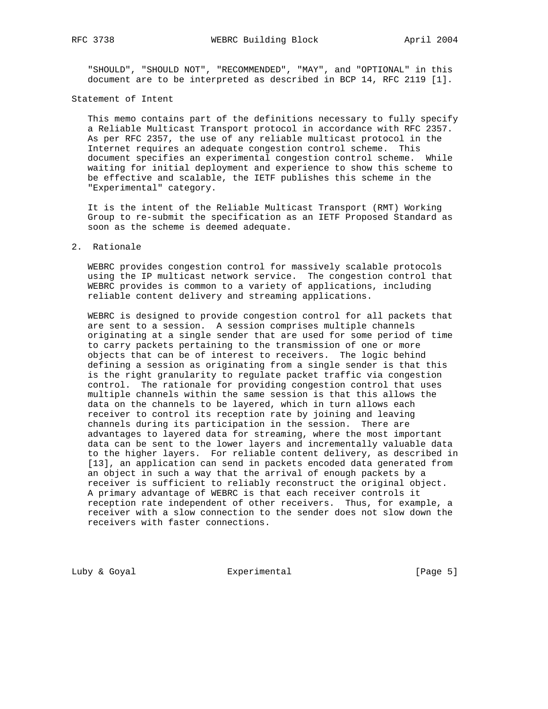"SHOULD", "SHOULD NOT", "RECOMMENDED", "MAY", and "OPTIONAL" in this document are to be interpreted as described in BCP 14, RFC 2119 [1].

## Statement of Intent

 This memo contains part of the definitions necessary to fully specify a Reliable Multicast Transport protocol in accordance with RFC 2357. As per RFC 2357, the use of any reliable multicast protocol in the Internet requires an adequate congestion control scheme. This document specifies an experimental congestion control scheme. While waiting for initial deployment and experience to show this scheme to be effective and scalable, the IETF publishes this scheme in the "Experimental" category.

 It is the intent of the Reliable Multicast Transport (RMT) Working Group to re-submit the specification as an IETF Proposed Standard as soon as the scheme is deemed adequate.

## 2. Rationale

 WEBRC provides congestion control for massively scalable protocols using the IP multicast network service. The congestion control that WEBRC provides is common to a variety of applications, including reliable content delivery and streaming applications.

 WEBRC is designed to provide congestion control for all packets that are sent to a session. A session comprises multiple channels originating at a single sender that are used for some period of time to carry packets pertaining to the transmission of one or more objects that can be of interest to receivers. The logic behind defining a session as originating from a single sender is that this is the right granularity to regulate packet traffic via congestion control. The rationale for providing congestion control that uses multiple channels within the same session is that this allows the data on the channels to be layered, which in turn allows each receiver to control its reception rate by joining and leaving channels during its participation in the session. There are advantages to layered data for streaming, where the most important data can be sent to the lower layers and incrementally valuable data to the higher layers. For reliable content delivery, as described in [13], an application can send in packets encoded data generated from an object in such a way that the arrival of enough packets by a receiver is sufficient to reliably reconstruct the original object. A primary advantage of WEBRC is that each receiver controls it reception rate independent of other receivers. Thus, for example, a receiver with a slow connection to the sender does not slow down the receivers with faster connections.

Luby & Goyal **Experimental** Experimental [Page 5]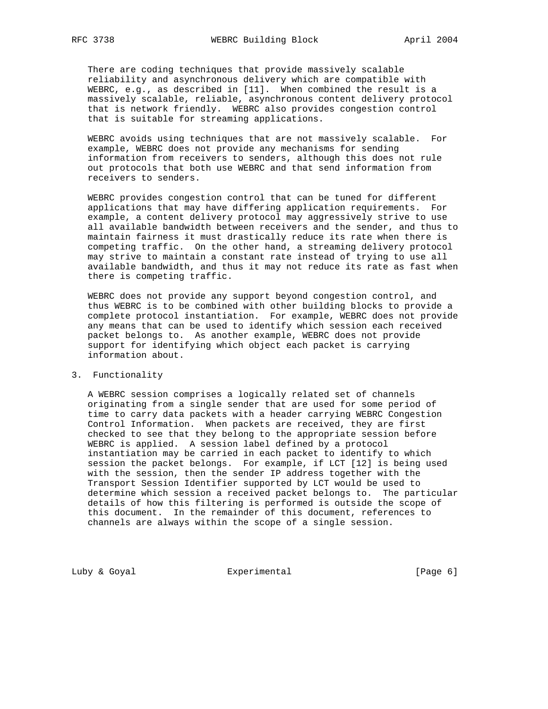There are coding techniques that provide massively scalable reliability and asynchronous delivery which are compatible with WEBRC, e.g., as described in [11]. When combined the result is a massively scalable, reliable, asynchronous content delivery protocol that is network friendly. WEBRC also provides congestion control that is suitable for streaming applications.

 WEBRC avoids using techniques that are not massively scalable. For example, WEBRC does not provide any mechanisms for sending information from receivers to senders, although this does not rule out protocols that both use WEBRC and that send information from receivers to senders.

 WEBRC provides congestion control that can be tuned for different applications that may have differing application requirements. For example, a content delivery protocol may aggressively strive to use all available bandwidth between receivers and the sender, and thus to maintain fairness it must drastically reduce its rate when there is competing traffic. On the other hand, a streaming delivery protocol may strive to maintain a constant rate instead of trying to use all available bandwidth, and thus it may not reduce its rate as fast when there is competing traffic.

 WEBRC does not provide any support beyond congestion control, and thus WEBRC is to be combined with other building blocks to provide a complete protocol instantiation. For example, WEBRC does not provide any means that can be used to identify which session each received packet belongs to. As another example, WEBRC does not provide support for identifying which object each packet is carrying information about.

## 3. Functionality

 A WEBRC session comprises a logically related set of channels originating from a single sender that are used for some period of time to carry data packets with a header carrying WEBRC Congestion Control Information. When packets are received, they are first checked to see that they belong to the appropriate session before WEBRC is applied. A session label defined by a protocol instantiation may be carried in each packet to identify to which session the packet belongs. For example, if LCT [12] is being used with the session, then the sender IP address together with the Transport Session Identifier supported by LCT would be used to determine which session a received packet belongs to. The particular details of how this filtering is performed is outside the scope of this document. In the remainder of this document, references to channels are always within the scope of a single session.

Luby & Goyal **Experimental** Experimental [Page 6]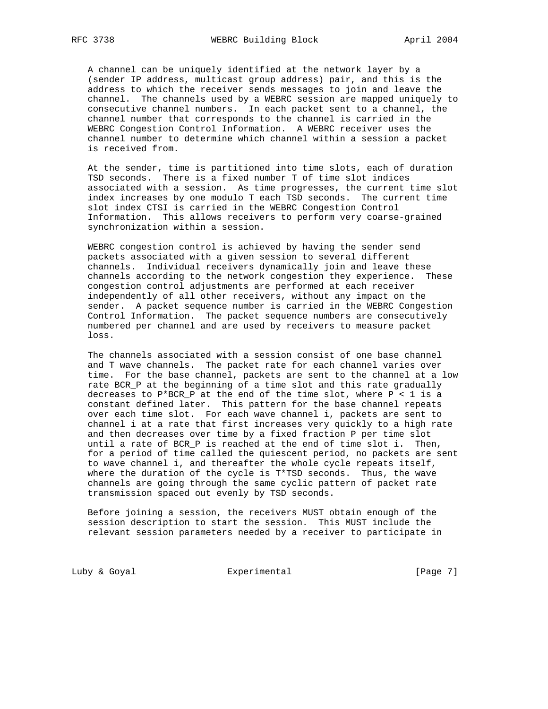A channel can be uniquely identified at the network layer by a (sender IP address, multicast group address) pair, and this is the address to which the receiver sends messages to join and leave the channel. The channels used by a WEBRC session are mapped uniquely to consecutive channel numbers. In each packet sent to a channel, the channel number that corresponds to the channel is carried in the WEBRC Congestion Control Information. A WEBRC receiver uses the channel number to determine which channel within a session a packet is received from.

 At the sender, time is partitioned into time slots, each of duration TSD seconds. There is a fixed number T of time slot indices associated with a session. As time progresses, the current time slot index increases by one modulo T each TSD seconds. The current time slot index CTSI is carried in the WEBRC Congestion Control Information. This allows receivers to perform very coarse-grained synchronization within a session.

 WEBRC congestion control is achieved by having the sender send packets associated with a given session to several different channels. Individual receivers dynamically join and leave these channels according to the network congestion they experience. These congestion control adjustments are performed at each receiver independently of all other receivers, without any impact on the sender. A packet sequence number is carried in the WEBRC Congestion Control Information. The packet sequence numbers are consecutively numbered per channel and are used by receivers to measure packet loss.

 The channels associated with a session consist of one base channel and T wave channels. The packet rate for each channel varies over time. For the base channel, packets are sent to the channel at a low rate BCR\_P at the beginning of a time slot and this rate gradually decreases to P\*BCR\_P at the end of the time slot, where P < 1 is a constant defined later. This pattern for the base channel repeats over each time slot. For each wave channel i, packets are sent to channel i at a rate that first increases very quickly to a high rate and then decreases over time by a fixed fraction P per time slot until a rate of BCR\_P is reached at the end of time slot i. Then, for a period of time called the quiescent period, no packets are sent to wave channel i, and thereafter the whole cycle repeats itself, where the duration of the cycle is T\*TSD seconds. Thus, the wave channels are going through the same cyclic pattern of packet rate transmission spaced out evenly by TSD seconds.

 Before joining a session, the receivers MUST obtain enough of the session description to start the session. This MUST include the relevant session parameters needed by a receiver to participate in

Luby & Goyal **Experimental** Experimental [Page 7]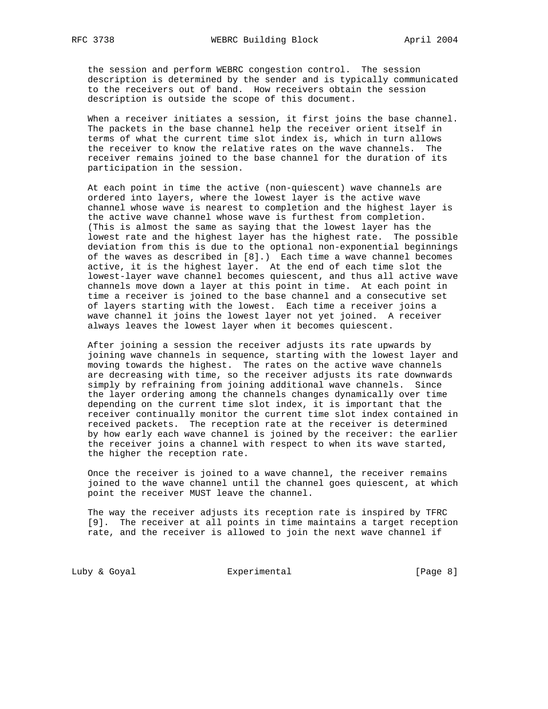the session and perform WEBRC congestion control. The session description is determined by the sender and is typically communicated to the receivers out of band. How receivers obtain the session description is outside the scope of this document.

 When a receiver initiates a session, it first joins the base channel. The packets in the base channel help the receiver orient itself in terms of what the current time slot index is, which in turn allows the receiver to know the relative rates on the wave channels. The receiver remains joined to the base channel for the duration of its participation in the session.

 At each point in time the active (non-quiescent) wave channels are ordered into layers, where the lowest layer is the active wave channel whose wave is nearest to completion and the highest layer is the active wave channel whose wave is furthest from completion. (This is almost the same as saying that the lowest layer has the lowest rate and the highest layer has the highest rate. The possible deviation from this is due to the optional non-exponential beginnings of the waves as described in [8].) Each time a wave channel becomes active, it is the highest layer. At the end of each time slot the lowest-layer wave channel becomes quiescent, and thus all active wave channels move down a layer at this point in time. At each point in time a receiver is joined to the base channel and a consecutive set of layers starting with the lowest. Each time a receiver joins a wave channel it joins the lowest layer not yet joined. A receiver always leaves the lowest layer when it becomes quiescent.

 After joining a session the receiver adjusts its rate upwards by joining wave channels in sequence, starting with the lowest layer and moving towards the highest. The rates on the active wave channels are decreasing with time, so the receiver adjusts its rate downwards simply by refraining from joining additional wave channels. Since the layer ordering among the channels changes dynamically over time depending on the current time slot index, it is important that the receiver continually monitor the current time slot index contained in received packets. The reception rate at the receiver is determined by how early each wave channel is joined by the receiver: the earlier the receiver joins a channel with respect to when its wave started, the higher the reception rate.

 Once the receiver is joined to a wave channel, the receiver remains joined to the wave channel until the channel goes quiescent, at which point the receiver MUST leave the channel.

 The way the receiver adjusts its reception rate is inspired by TFRC [9]. The receiver at all points in time maintains a target reception rate, and the receiver is allowed to join the next wave channel if

Luby & Goyal **Experimental** Experimental [Page 8]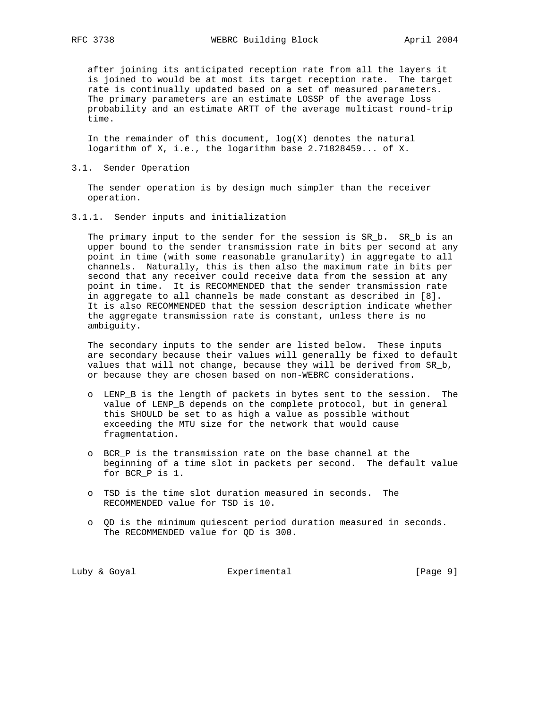after joining its anticipated reception rate from all the layers it is joined to would be at most its target reception rate. The target rate is continually updated based on a set of measured parameters. The primary parameters are an estimate LOSSP of the average loss probability and an estimate ARTT of the average multicast round-trip time.

In the remainder of this document,  $log(X)$  denotes the natural logarithm of X, i.e., the logarithm base 2.71828459... of X.

#### 3.1. Sender Operation

 The sender operation is by design much simpler than the receiver operation.

3.1.1. Sender inputs and initialization

The primary input to the sender for the session is SR\_b. SR\_b is an upper bound to the sender transmission rate in bits per second at any point in time (with some reasonable granularity) in aggregate to all channels. Naturally, this is then also the maximum rate in bits per second that any receiver could receive data from the session at any point in time. It is RECOMMENDED that the sender transmission rate in aggregate to all channels be made constant as described in [8]. It is also RECOMMENDED that the session description indicate whether the aggregate transmission rate is constant, unless there is no ambiguity.

 The secondary inputs to the sender are listed below. These inputs are secondary because their values will generally be fixed to default values that will not change, because they will be derived from SR\_b, or because they are chosen based on non-WEBRC considerations.

- o LENP\_B is the length of packets in bytes sent to the session. The value of LENP\_B depends on the complete protocol, but in general this SHOULD be set to as high a value as possible without exceeding the MTU size for the network that would cause fragmentation.
- o BCR\_P is the transmission rate on the base channel at the beginning of a time slot in packets per second. The default value for BCR\_P is 1.
- o TSD is the time slot duration measured in seconds. The RECOMMENDED value for TSD is 10.
- o QD is the minimum quiescent period duration measured in seconds. The RECOMMENDED value for QD is 300.

Luby & Goyal **Experimental** Experimental [Page 9]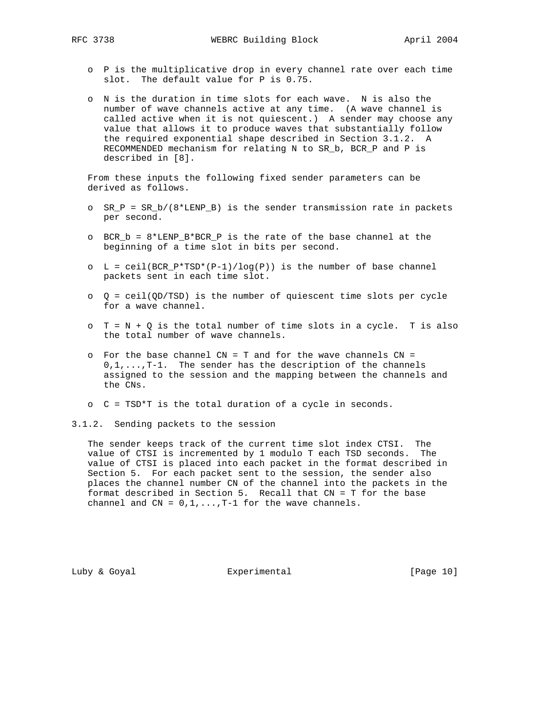- o P is the multiplicative drop in every channel rate over each time slot. The default value for P is 0.75.
- o N is the duration in time slots for each wave. N is also the number of wave channels active at any time. (A wave channel is called active when it is not quiescent.) A sender may choose any value that allows it to produce waves that substantially follow the required exponential shape described in Section 3.1.2. A RECOMMENDED mechanism for relating N to SR\_b, BCR\_P and P is described in [8].

 From these inputs the following fixed sender parameters can be derived as follows.

- o SR\_P = SR\_b/(8\*LENP\_B) is the sender transmission rate in packets per second.
- o BCR\_b = 8\*LENP\_B\*BCR\_P is the rate of the base channel at the beginning of a time slot in bits per second.
- $O$  L = ceil(BCR\_P\*TSD\*(P-1)/log(P)) is the number of base channel packets sent in each time slot.
- $Q = \text{ceil}(\text{QD/TSD})$  is the number of quiescent time slots per cycle for a wave channel.
- $\circ$  T = N + Q is the total number of time slots in a cycle. T is also the total number of wave channels.
- $\circ$  For the base channel CN = T and for the wave channels CN =  $0,1,\ldots,T-1$ . The sender has the description of the channels assigned to the session and the mapping between the channels and the CNs.
- o C = TSD\*T is the total duration of a cycle in seconds.
- 3.1.2. Sending packets to the session

 The sender keeps track of the current time slot index CTSI. The value of CTSI is incremented by 1 modulo T each TSD seconds. The value of CTSI is placed into each packet in the format described in Section 5. For each packet sent to the session, the sender also places the channel number CN of the channel into the packets in the format described in Section 5. Recall that CN = T for the base channel and  $CN = 0, 1, \ldots, T-1$  for the wave channels.

Luby & Goyal **Experimental** Experimental [Page 10]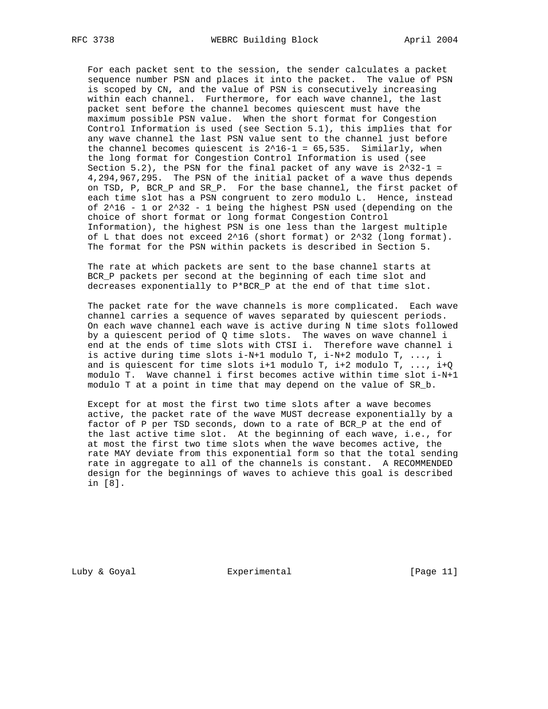For each packet sent to the session, the sender calculates a packet sequence number PSN and places it into the packet. The value of PSN is scoped by CN, and the value of PSN is consecutively increasing within each channel. Furthermore, for each wave channel, the last packet sent before the channel becomes quiescent must have the maximum possible PSN value. When the short format for Congestion Control Information is used (see Section 5.1), this implies that for any wave channel the last PSN value sent to the channel just before the channel becomes quiescent is  $2^16-1 = 65,535$ . Similarly, when the long format for Congestion Control Information is used (see Section 5.2), the PSN for the final packet of any wave is  $2^32-1 =$  4,294,967,295. The PSN of the initial packet of a wave thus depends on TSD, P, BCR\_P and SR\_P. For the base channel, the first packet of each time slot has a PSN congruent to zero modulo L. Hence, instead of  $2^16 - 1$  or  $2^132 - 1$  being the highest PSN used (depending on the choice of short format or long format Congestion Control Information), the highest PSN is one less than the largest multiple of L that does not exceed 2^16 (short format) or 2^32 (long format). The format for the PSN within packets is described in Section 5.

 The rate at which packets are sent to the base channel starts at BCR\_P packets per second at the beginning of each time slot and decreases exponentially to P\*BCR\_P at the end of that time slot.

 The packet rate for the wave channels is more complicated. Each wave channel carries a sequence of waves separated by quiescent periods. On each wave channel each wave is active during N time slots followed by a quiescent period of Q time slots. The waves on wave channel i end at the ends of time slots with CTSI i. Therefore wave channel i is active during time slots i-N+1 modulo T, i-N+2 modulo T, ..., i and is quiescent for time slots  $i+1$  modulo T,  $i+2$  modulo T, ...,  $i+Q$  modulo T. Wave channel i first becomes active within time slot i-N+1 modulo T at a point in time that may depend on the value of SR\_b.

 Except for at most the first two time slots after a wave becomes active, the packet rate of the wave MUST decrease exponentially by a factor of P per TSD seconds, down to a rate of BCR\_P at the end of the last active time slot. At the beginning of each wave, i.e., for at most the first two time slots when the wave becomes active, the rate MAY deviate from this exponential form so that the total sending rate in aggregate to all of the channels is constant. A RECOMMENDED design for the beginnings of waves to achieve this goal is described in [8].

Luby & Goyal **Experimental** Experimental [Page 11]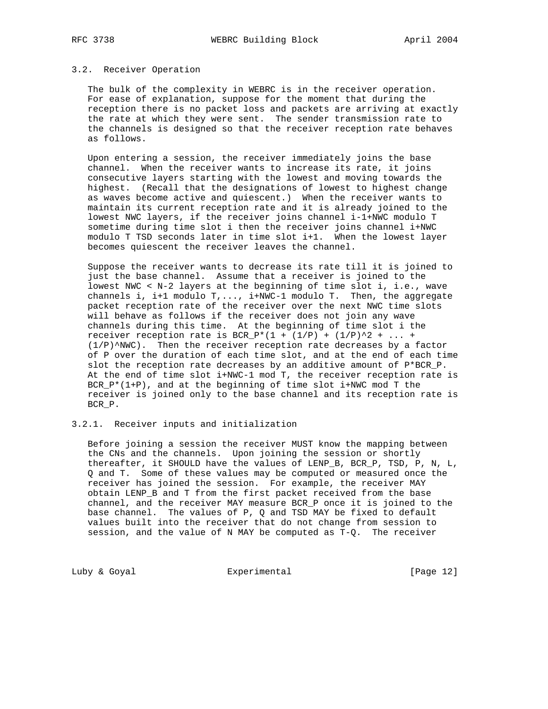#### 3.2. Receiver Operation

 The bulk of the complexity in WEBRC is in the receiver operation. For ease of explanation, suppose for the moment that during the reception there is no packet loss and packets are arriving at exactly the rate at which they were sent. The sender transmission rate to the channels is designed so that the receiver reception rate behaves as follows.

 Upon entering a session, the receiver immediately joins the base channel. When the receiver wants to increase its rate, it joins consecutive layers starting with the lowest and moving towards the highest. (Recall that the designations of lowest to highest change as waves become active and quiescent.) When the receiver wants to maintain its current reception rate and it is already joined to the lowest NWC layers, if the receiver joins channel i-1+NWC modulo T sometime during time slot i then the receiver joins channel i+NWC modulo T TSD seconds later in time slot i+1. When the lowest layer becomes quiescent the receiver leaves the channel.

 Suppose the receiver wants to decrease its rate till it is joined to just the base channel. Assume that a receiver is joined to the lowest NWC < N-2 layers at the beginning of time slot i, i.e., wave channels i, i+1 modulo  $T, \ldots$ , i+NWC-1 modulo T. Then, the aggregate packet reception rate of the receiver over the next NWC time slots will behave as follows if the receiver does not join any wave channels during this time. At the beginning of time slot i the receiver reception rate is BCR\_P\*(1 +  $(1/P)$  +  $(1/P)^{2}$  + ... +  $(1/P)^*NWC$ . Then the receiver reception rate decreases by a factor of P over the duration of each time slot, and at the end of each time slot the reception rate decreases by an additive amount of P\*BCR\_P. At the end of time slot i+NWC-1 mod T, the receiver reception rate is BCR $_P^*(1+P)$ , and at the beginning of time slot i+NWC mod T the receiver is joined only to the base channel and its reception rate is BCR\_P.

## 3.2.1. Receiver inputs and initialization

 Before joining a session the receiver MUST know the mapping between the CNs and the channels. Upon joining the session or shortly thereafter, it SHOULD have the values of LENP\_B, BCR\_P, TSD, P, N, L, Q and T. Some of these values may be computed or measured once the receiver has joined the session. For example, the receiver MAY obtain LENP\_B and T from the first packet received from the base channel, and the receiver MAY measure BCR\_P once it is joined to the base channel. The values of P, Q and TSD MAY be fixed to default values built into the receiver that do not change from session to session, and the value of N MAY be computed as T-Q. The receiver

Luby & Goyal **Experimental** Experimental [Page 12]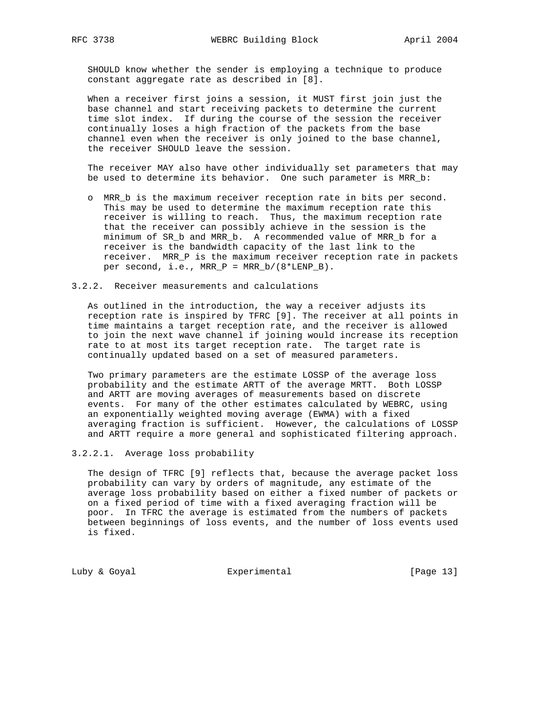SHOULD know whether the sender is employing a technique to produce constant aggregate rate as described in [8].

 When a receiver first joins a session, it MUST first join just the base channel and start receiving packets to determine the current time slot index. If during the course of the session the receiver continually loses a high fraction of the packets from the base channel even when the receiver is only joined to the base channel, the receiver SHOULD leave the session.

 The receiver MAY also have other individually set parameters that may be used to determine its behavior. One such parameter is MRR\_b:

- o MRR\_b is the maximum receiver reception rate in bits per second. This may be used to determine the maximum reception rate this receiver is willing to reach. Thus, the maximum reception rate that the receiver can possibly achieve in the session is the minimum of SR\_b and MRR\_b. A recommended value of MRR\_b for a receiver is the bandwidth capacity of the last link to the receiver. MRR\_P is the maximum receiver reception rate in packets per second, i.e., MRR\_P = MRR\_b/(8\*LENP\_B).
- 3.2.2. Receiver measurements and calculations

 As outlined in the introduction, the way a receiver adjusts its reception rate is inspired by TFRC [9]. The receiver at all points in time maintains a target reception rate, and the receiver is allowed to join the next wave channel if joining would increase its reception rate to at most its target reception rate. The target rate is continually updated based on a set of measured parameters.

 Two primary parameters are the estimate LOSSP of the average loss probability and the estimate ARTT of the average MRTT. Both LOSSP and ARTT are moving averages of measurements based on discrete events. For many of the other estimates calculated by WEBRC, using an exponentially weighted moving average (EWMA) with a fixed averaging fraction is sufficient. However, the calculations of LOSSP and ARTT require a more general and sophisticated filtering approach.

3.2.2.1. Average loss probability

 The design of TFRC [9] reflects that, because the average packet loss probability can vary by orders of magnitude, any estimate of the average loss probability based on either a fixed number of packets or on a fixed period of time with a fixed averaging fraction will be poor. In TFRC the average is estimated from the numbers of packets between beginnings of loss events, and the number of loss events used is fixed.

Luby & Goyal **Experimental** Experimental [Page 13]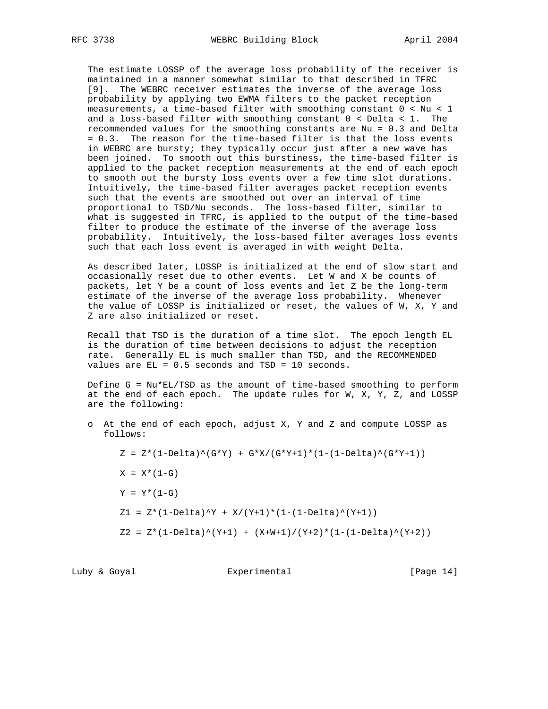The estimate LOSSP of the average loss probability of the receiver is maintained in a manner somewhat similar to that described in TFRC [9]. The WEBRC receiver estimates the inverse of the average loss probability by applying two EWMA filters to the packet reception measurements, a time-based filter with smoothing constant 0 < Nu < 1 and a loss-based filter with smoothing constant 0 < Delta < 1. The recommended values for the smoothing constants are Nu = 0.3 and Delta = 0.3. The reason for the time-based filter is that the loss events in WEBRC are bursty; they typically occur just after a new wave has been joined. To smooth out this burstiness, the time-based filter is applied to the packet reception measurements at the end of each epoch to smooth out the bursty loss events over a few time slot durations. Intuitively, the time-based filter averages packet reception events such that the events are smoothed out over an interval of time proportional to TSD/Nu seconds. The loss-based filter, similar to what is suggested in TFRC, is applied to the output of the time-based filter to produce the estimate of the inverse of the average loss probability. Intuitively, the loss-based filter averages loss events such that each loss event is averaged in with weight Delta.

 As described later, LOSSP is initialized at the end of slow start and occasionally reset due to other events. Let W and X be counts of packets, let Y be a count of loss events and let Z be the long-term estimate of the inverse of the average loss probability. Whenever the value of LOSSP is initialized or reset, the values of W, X, Y and Z are also initialized or reset.

 Recall that TSD is the duration of a time slot. The epoch length EL is the duration of time between decisions to adjust the reception rate. Generally EL is much smaller than TSD, and the RECOMMENDED values are EL = 0.5 seconds and TSD = 10 seconds.

Define  $G = Nu*EL/TSD$  as the amount of time-based smoothing to perform at the end of each epoch. The update rules for W, X, Y, Z, and LOSSP are the following:

 o At the end of each epoch, adjust X, Y and Z and compute LOSSP as follows:

 $Z = Z^*(1-\text{Delta})^*(G^*Y) + G^*X/(G^*Y+1)^*(1-(1-\text{Delta})^*(G^*Y+1))$  $X = X * (1 - G)$  $Y = Y^*(1 - G)$  $Z1 = Z*(1-Delta)^{2} + X/(Y+1)*(1-(1-Delta)^{(Y+1)})$  $Z2 = Z*(1-Delta)^*(Y+1) + (X+W+1)/(Y+2)*(1-(1-Delta)^*(Y+2))$ 

# Luby & Goyal **Experimental** Experimental [Page 14]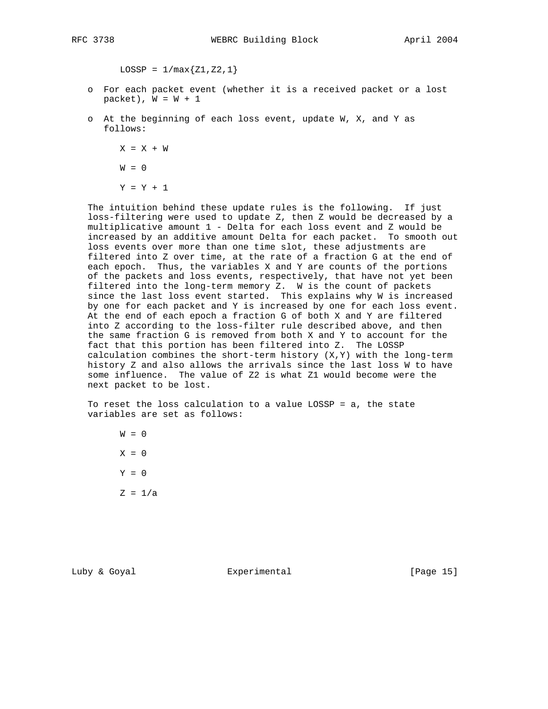$LOSSP = 1/max{Z1, Z2, 1}$ 

- o For each packet event (whether it is a received packet or a lost packet),  $W = W + 1$
- o At the beginning of each loss event, update W, X, and Y as follows:

 $X = X + W$  $W = 0$ 

 $Y = Y + 1$ 

 The intuition behind these update rules is the following. If just loss-filtering were used to update Z, then Z would be decreased by a multiplicative amount 1 - Delta for each loss event and Z would be increased by an additive amount Delta for each packet. To smooth out loss events over more than one time slot, these adjustments are filtered into Z over time, at the rate of a fraction G at the end of each epoch. Thus, the variables X and Y are counts of the portions of the packets and loss events, respectively, that have not yet been filtered into the long-term memory Z. W is the count of packets since the last loss event started. This explains why W is increased by one for each packet and Y is increased by one for each loss event. At the end of each epoch a fraction G of both X and Y are filtered into Z according to the loss-filter rule described above, and then the same fraction G is removed from both X and Y to account for the fact that this portion has been filtered into Z. The LOSSP calculation combines the short-term history (X,Y) with the long-term history Z and also allows the arrivals since the last loss W to have some influence. The value of Z2 is what Z1 would become were the next packet to be lost.

 To reset the loss calculation to a value LOSSP = a, the state variables are set as follows:

 $W = 0$  $X = 0$  $Y = 0$  $Z = 1/a$ 

Luby & Goyal **Experimental** Experimental [Page 15]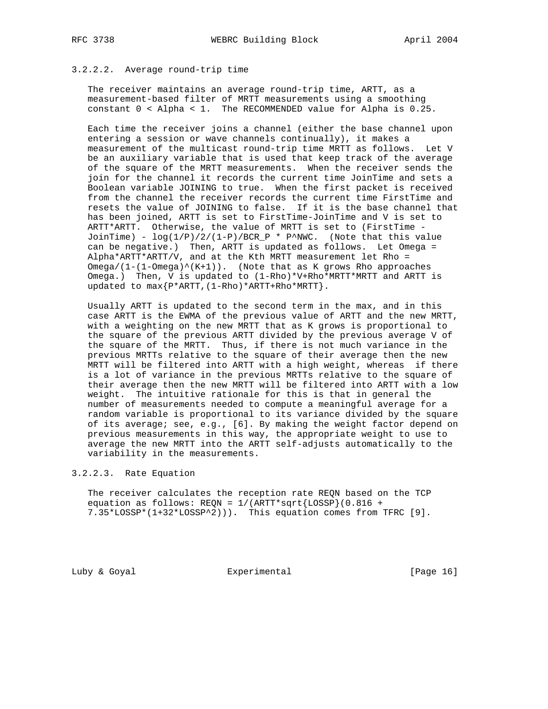# 3.2.2.2. Average round-trip time

 The receiver maintains an average round-trip time, ARTT, as a measurement-based filter of MRTT measurements using a smoothing constant 0 < Alpha < 1. The RECOMMENDED value for Alpha is 0.25.

 Each time the receiver joins a channel (either the base channel upon entering a session or wave channels continually), it makes a measurement of the multicast round-trip time MRTT as follows. Let V be an auxiliary variable that is used that keep track of the average of the square of the MRTT measurements. When the receiver sends the join for the channel it records the current time JoinTime and sets a Boolean variable JOINING to true. When the first packet is received from the channel the receiver records the current time FirstTime and resets the value of JOINING to false. If it is the base channel that has been joined, ARTT is set to FirstTime-JoinTime and V is set to ARTT\*ARTT. Otherwise, the value of MRTT is set to (FirstTime - JoinTime) -  $log(1/P)/2/(1-P)/BCR_P$  \* P^NWC. (Note that this value can be negative.) Then, ARTT is updated as follows. Let Omega = Alpha\*ARTT\*ARTT/V, and at the Kth MRTT measurement let Rho =  $Omega/(1-(1-Omega)^*(K+1))$ . (Note that as K grows Rho approaches Omega.) Then, V is updated to (1-Rho)\*V+Rho\*MRTT\*MRTT and ARTT is updated to max{P\*ARTT,(1-Rho)\*ARTT+Rho\*MRTT}.

 Usually ARTT is updated to the second term in the max, and in this case ARTT is the EWMA of the previous value of ARTT and the new MRTT, with a weighting on the new MRTT that as K grows is proportional to the square of the previous ARTT divided by the previous average V of the square of the MRTT. Thus, if there is not much variance in the previous MRTTs relative to the square of their average then the new MRTT will be filtered into ARTT with a high weight, whereas if there is a lot of variance in the previous MRTTs relative to the square of their average then the new MRTT will be filtered into ARTT with a low weight. The intuitive rationale for this is that in general the number of measurements needed to compute a meaningful average for a random variable is proportional to its variance divided by the square of its average; see, e.g., [6]. By making the weight factor depend on previous measurements in this way, the appropriate weight to use to average the new MRTT into the ARTT self-adjusts automatically to the variability in the measurements.

## 3.2.2.3. Rate Equation

 The receiver calculates the reception rate REQN based on the TCP equation as follows: REQN =  $1/(ARTT*sqrt{LoSSP})(0.816 +$ 7.35\*LOSSP\*(1+32\*LOSSP^2))). This equation comes from TFRC [9].

Luby & Goyal **Experimental** Experimental [Page 16]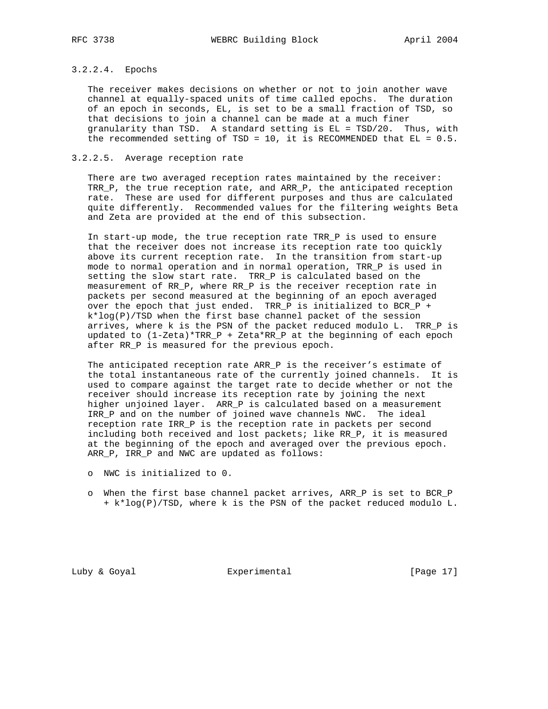# 3.2.2.4. Epochs

 The receiver makes decisions on whether or not to join another wave channel at equally-spaced units of time called epochs. The duration of an epoch in seconds, EL, is set to be a small fraction of TSD, so that decisions to join a channel can be made at a much finer granularity than TSD. A standard setting is EL = TSD/20. Thus, with the recommended setting of TSD =  $10$ , it is RECOMMENDED that EL =  $0.5$ .

## 3.2.2.5. Average reception rate

 There are two averaged reception rates maintained by the receiver: TRR\_P, the true reception rate, and ARR\_P, the anticipated reception rate. These are used for different purposes and thus are calculated quite differently. Recommended values for the filtering weights Beta and Zeta are provided at the end of this subsection.

 In start-up mode, the true reception rate TRR\_P is used to ensure that the receiver does not increase its reception rate too quickly above its current reception rate. In the transition from start-up mode to normal operation and in normal operation, TRR\_P is used in setting the slow start rate. TRR\_P is calculated based on the measurement of RR\_P, where RR\_P is the receiver reception rate in packets per second measured at the beginning of an epoch averaged over the epoch that just ended. TRR\_P is initialized to BCR\_P + k\*log(P)/TSD when the first base channel packet of the session arrives, where k is the PSN of the packet reduced modulo L. TRR\_P is updated to (1-Zeta)\*TRR\_P + Zeta\*RR\_P at the beginning of each epoch after RR\_P is measured for the previous epoch.

 The anticipated reception rate ARR\_P is the receiver's estimate of the total instantaneous rate of the currently joined channels. It is used to compare against the target rate to decide whether or not the receiver should increase its reception rate by joining the next higher unjoined layer. ARR\_P is calculated based on a measurement IRR\_P and on the number of joined wave channels NWC. The ideal reception rate IRR\_P is the reception rate in packets per second including both received and lost packets; like RR\_P, it is measured at the beginning of the epoch and averaged over the previous epoch. ARR\_P, IRR\_P and NWC are updated as follows:

- o NWC is initialized to 0.
- o When the first base channel packet arrives, ARR\_P is set to BCR\_P + k\*log(P)/TSD, where k is the PSN of the packet reduced modulo L.

Luby & Goyal **Experimental** Experimental [Page 17]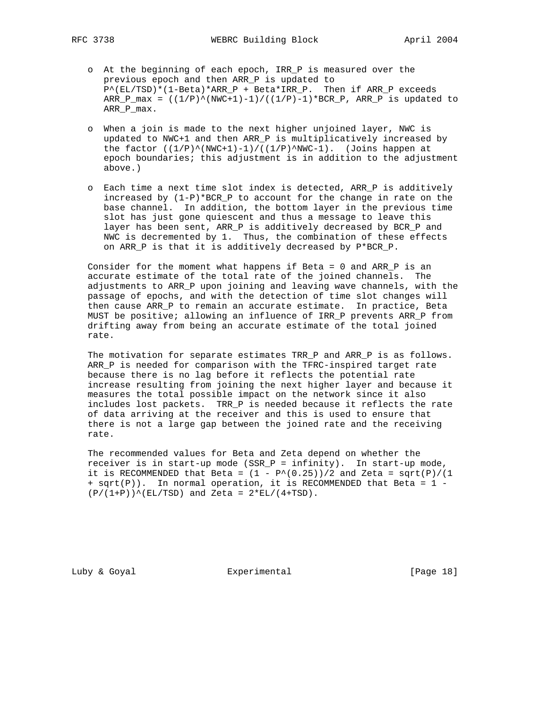- o At the beginning of each epoch, IRR\_P is measured over the previous epoch and then ARR\_P is updated to  $P^{\wedge}(\text{EL/TSD})^*(1-\text{Beta})^*$ ARR\_P + Beta\*IRR\_P. Then if ARR\_P exceeds  $ARR_Pmax = ((1/P)^{(NWC+1)-1)/((1/P)-1)*BCR_P, ARR_P$  is updated to ARR\_P\_max.
- o When a join is made to the next higher unjoined layer, NWC is updated to NWC+1 and then ARR\_P is multiplicatively increased by the factor  $((1/P)^{\wedge}(NWC+1)-1)/((1/P)^{\wedge}NWC-1)$ . (Joins happen at epoch boundaries; this adjustment is in addition to the adjustment above.)
- o Each time a next time slot index is detected, ARR\_P is additively increased by (1-P)\*BCR\_P to account for the change in rate on the base channel. In addition, the bottom layer in the previous time slot has just gone quiescent and thus a message to leave this layer has been sent, ARR\_P is additively decreased by BCR\_P and NWC is decremented by 1. Thus, the combination of these effects on ARR\_P is that it is additively decreased by P\*BCR\_P.

 Consider for the moment what happens if Beta = 0 and ARR\_P is an accurate estimate of the total rate of the joined channels. The adjustments to ARR\_P upon joining and leaving wave channels, with the passage of epochs, and with the detection of time slot changes will then cause ARR\_P to remain an accurate estimate. In practice, Beta MUST be positive; allowing an influence of IRR\_P prevents ARR\_P from drifting away from being an accurate estimate of the total joined rate.

The motivation for separate estimates TRR\_P and ARR\_P is as follows. ARR\_P is needed for comparison with the TFRC-inspired target rate because there is no lag before it reflects the potential rate increase resulting from joining the next higher layer and because it measures the total possible impact on the network since it also includes lost packets. TRR\_P is needed because it reflects the rate of data arriving at the receiver and this is used to ensure that there is not a large gap between the joined rate and the receiving rate.

 The recommended values for Beta and Zeta depend on whether the receiver is in start-up mode (SSR\_P = infinity). In start-up mode, it is RECOMMENDED that Beta =  $(1 - P^*(0.25))/2$  and Zeta = sqrt(P)/(1 + sqrt(P)). In normal operation, it is RECOMMENDED that Beta = 1 -  $(P/(1+P))^{\wedge}$ (EL/TSD) and Zeta =  $2*EL/(4+TSD)$ .

Luby & Goyal **Experimental** Experimental [Page 18]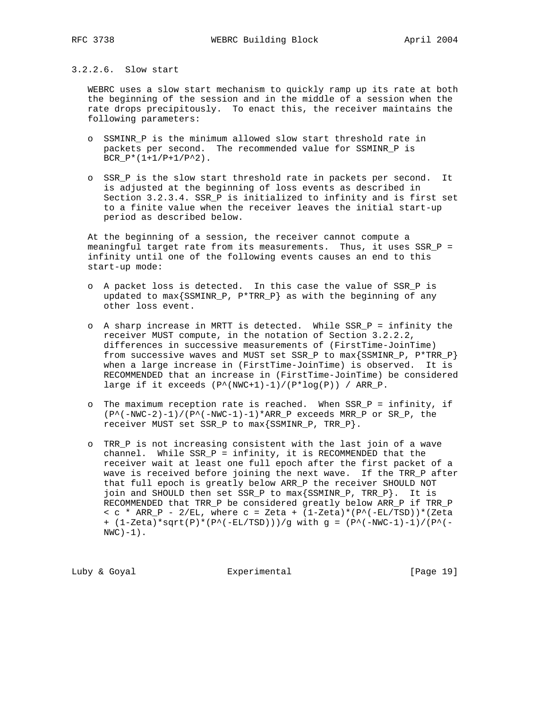## 3.2.2.6. Slow start

 WEBRC uses a slow start mechanism to quickly ramp up its rate at both the beginning of the session and in the middle of a session when the rate drops precipitously. To enact this, the receiver maintains the following parameters:

- o SSMINR\_P is the minimum allowed slow start threshold rate in packets per second. The recommended value for SSMINR\_P is  $BCR_P*(1+1/P+1/P^2)$ .
- o SSR\_P is the slow start threshold rate in packets per second. It is adjusted at the beginning of loss events as described in Section 3.2.3.4. SSR\_P is initialized to infinity and is first set to a finite value when the receiver leaves the initial start-up period as described below.

 At the beginning of a session, the receiver cannot compute a meaningful target rate from its measurements. Thus, it uses SSR\_P = infinity until one of the following events causes an end to this start-up mode:

- o A packet loss is detected. In this case the value of SSR\_P is updated to max{SSMINR\_P, P\*TRR\_P} as with the beginning of any other loss event.
- o A sharp increase in MRTT is detected. While SSR\_P = infinity the receiver MUST compute, in the notation of Section 3.2.2.2, differences in successive measurements of (FirstTime-JoinTime) from successive waves and MUST set SSR\_P to  $max{SSMINR_P}$ ,  $P*TRR_P}$  when a large increase in (FirstTime-JoinTime) is observed. It is RECOMMENDED that an increase in (FirstTime-JoinTime) be considered large if it exceeds  $(P^*(NWC+1)-1)/(P^*log(P))$  / ARR\_P.
- o The maximum reception rate is reached. When SSR\_P = infinity, if  $(P^{\wedge}(-NWC-2)-1)/(P^{\wedge}(-NWC-1)-1)*ARR_P$  exceeds MRR\_P or SR\_P, the receiver MUST set SSR\_P to max{SSMINR\_P, TRR\_P}.
- o TRR\_P is not increasing consistent with the last join of a wave channel. While SSR\_P = infinity, it is RECOMMENDED that the receiver wait at least one full epoch after the first packet of a wave is received before joining the next wave. If the TRR\_P after that full epoch is greatly below ARR\_P the receiver SHOULD NOT join and SHOULD then set SSR\_P to max{SSMINR\_P, TRR\_P}. It is RECOMMENDED that TRR\_P be considered greatly below ARR\_P if TRR\_P <  $c$  \* ARR\_P - 2/EL, where  $c =$  Zeta +  $(1-Zeta)*(P^*(-EL/TSD))*(Zeta)$ +  $(1-Zeta)*sqrt(P)*(P^(-EL/TSD)))/g$  with g =  $(P^(-NWC-1)-1)/(P^( NWC$ ) $-1$ ).

Luby & Goyal **Experimental** Experimental [Page 19]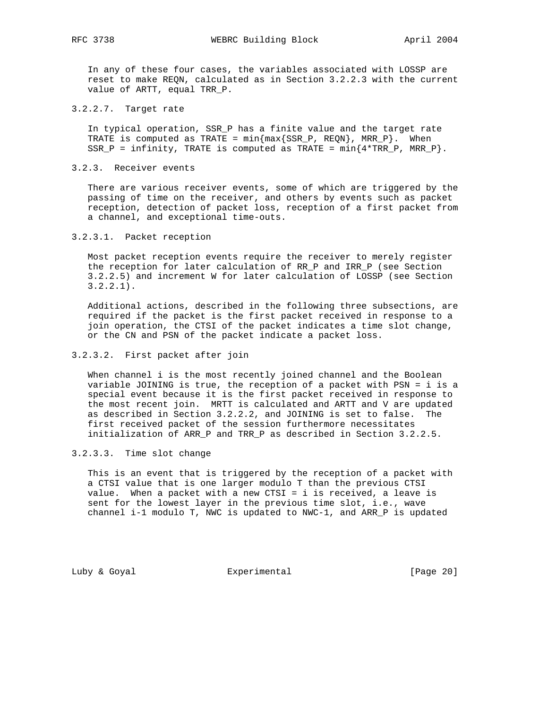In any of these four cases, the variables associated with LOSSP are reset to make REQN, calculated as in Section 3.2.2.3 with the current value of ARTT, equal TRR\_P.

3.2.2.7. Target rate

 In typical operation, SSR\_P has a finite value and the target rate TRATE is computed as TRATE =  $min{max{SSR_P, REQN}}$ , MRR\_P}. When SSR\_P = infinity, TRATE is computed as TRATE =  $min{4*}$ TRR\_P, MRR\_P}.

3.2.3. Receiver events

 There are various receiver events, some of which are triggered by the passing of time on the receiver, and others by events such as packet reception, detection of packet loss, reception of a first packet from a channel, and exceptional time-outs.

3.2.3.1. Packet reception

 Most packet reception events require the receiver to merely register the reception for later calculation of RR\_P and IRR\_P (see Section 3.2.2.5) and increment W for later calculation of LOSSP (see Section 3.2.2.1).

 Additional actions, described in the following three subsections, are required if the packet is the first packet received in response to a join operation, the CTSI of the packet indicates a time slot change, or the CN and PSN of the packet indicate a packet loss.

## 3.2.3.2. First packet after join

 When channel i is the most recently joined channel and the Boolean variable JOINING is true, the reception of a packet with PSN = i is a special event because it is the first packet received in response to the most recent join. MRTT is calculated and ARTT and V are updated as described in Section 3.2.2.2, and JOINING is set to false. The first received packet of the session furthermore necessitates initialization of ARR\_P and TRR\_P as described in Section 3.2.2.5.

3.2.3.3. Time slot change

 This is an event that is triggered by the reception of a packet with a CTSI value that is one larger modulo T than the previous CTSI value. When a packet with a new CTSI = i is received, a leave is sent for the lowest layer in the previous time slot, i.e., wave channel i-1 modulo T, NWC is updated to NWC-1, and ARR\_P is updated

Luby & Goyal **Experimental** Experimental [Page 20]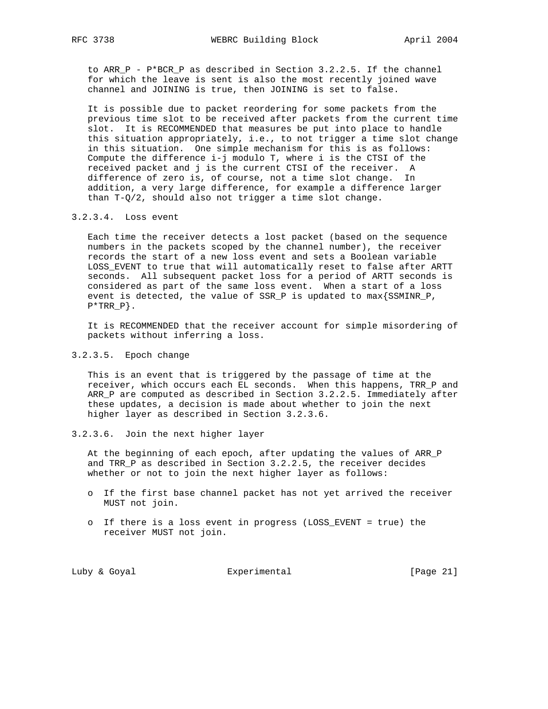to ARR\_P - P\*BCR\_P as described in Section 3.2.2.5. If the channel for which the leave is sent is also the most recently joined wave channel and JOINING is true, then JOINING is set to false.

 It is possible due to packet reordering for some packets from the previous time slot to be received after packets from the current time slot. It is RECOMMENDED that measures be put into place to handle this situation appropriately, i.e., to not trigger a time slot change in this situation. One simple mechanism for this is as follows: Compute the difference i-j modulo T, where i is the CTSI of the received packet and j is the current CTSI of the receiver. A difference of zero is, of course, not a time slot change. In addition, a very large difference, for example a difference larger than T-Q/2, should also not trigger a time slot change.

## 3.2.3.4. Loss event

 Each time the receiver detects a lost packet (based on the sequence numbers in the packets scoped by the channel number), the receiver records the start of a new loss event and sets a Boolean variable LOSS\_EVENT to true that will automatically reset to false after ARTT seconds. All subsequent packet loss for a period of ARTT seconds is considered as part of the same loss event. When a start of a loss event is detected, the value of SSR\_P is updated to max{SSMINR\_P,  $P*TRR_P$ .

 It is RECOMMENDED that the receiver account for simple misordering of packets without inferring a loss.

## 3.2.3.5. Epoch change

 This is an event that is triggered by the passage of time at the receiver, which occurs each EL seconds. When this happens, TRR\_P and ARR P are computed as described in Section 3.2.2.5. Immediately after these updates, a decision is made about whether to join the next higher layer as described in Section 3.2.3.6.

# 3.2.3.6. Join the next higher layer

 At the beginning of each epoch, after updating the values of ARR\_P and TRR\_P as described in Section 3.2.2.5, the receiver decides whether or not to join the next higher layer as follows:

- o If the first base channel packet has not yet arrived the receiver MUST not join.
- o If there is a loss event in progress (LOSS\_EVENT = true) the receiver MUST not join.

Luby & Goyal **Experimental** Experimental [Page 21]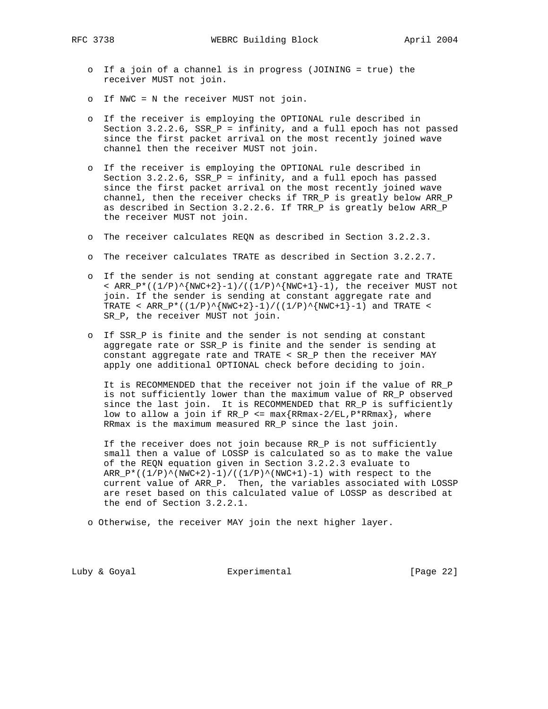- o If a join of a channel is in progress (JOINING = true) the receiver MUST not join.
- o If NWC = N the receiver MUST not join.
- o If the receiver is employing the OPTIONAL rule described in Section 3.2.2.6, SSR\_P = infinity, and a full epoch has not passed since the first packet arrival on the most recently joined wave channel then the receiver MUST not join.
- o If the receiver is employing the OPTIONAL rule described in Section  $3.2.2.6$ , SSR<sub>P</sub> = infinity, and a full epoch has passed since the first packet arrival on the most recently joined wave channel, then the receiver checks if TRR\_P is greatly below ARR\_P as described in Section 3.2.2.6. If TRR\_P is greatly below ARR\_P the receiver MUST not join.
- o The receiver calculates REQN as described in Section 3.2.2.3.
- o The receiver calculates TRATE as described in Section 3.2.2.7.
- o If the sender is not sending at constant aggregate rate and TRATE < ARR\_P\*( $(1/P)$ ^{NWC+2}-1)/( $(1/P)$ ^{NWC+1}-1), the receiver MUST not join. If the sender is sending at constant aggregate rate and TRATE < ARR\_P\*((1/P)^{NWC+2}-1)/((1/P)^{NWC+1}-1) and TRATE < SR\_P, the receiver MUST not join.
- o If SSR\_P is finite and the sender is not sending at constant aggregate rate or SSR\_P is finite and the sender is sending at constant aggregate rate and TRATE < SR\_P then the receiver MAY apply one additional OPTIONAL check before deciding to join.

 It is RECOMMENDED that the receiver not join if the value of RR\_P is not sufficiently lower than the maximum value of RR\_P observed since the last join. It is RECOMMENDED that RR\_P is sufficiently low to allow a join if  $RR_P \leq max\{RRmax-2/EL, P*RRmax\}$ , where RRmax is the maximum measured RR\_P since the last join.

 If the receiver does not join because RR\_P is not sufficiently small then a value of LOSSP is calculated so as to make the value of the REQN equation given in Section 3.2.2.3 evaluate to  $ARR_P*( (1/P)^(NWC+2)-1)/((1/P)^(NWC+1)-1)$  with respect to the current value of ARR\_P. Then, the variables associated with LOSSP are reset based on this calculated value of LOSSP as described at the end of Section 3.2.2.1.

o Otherwise, the receiver MAY join the next higher layer.

Luby & Goyal **Experimental** Experimental [Page 22]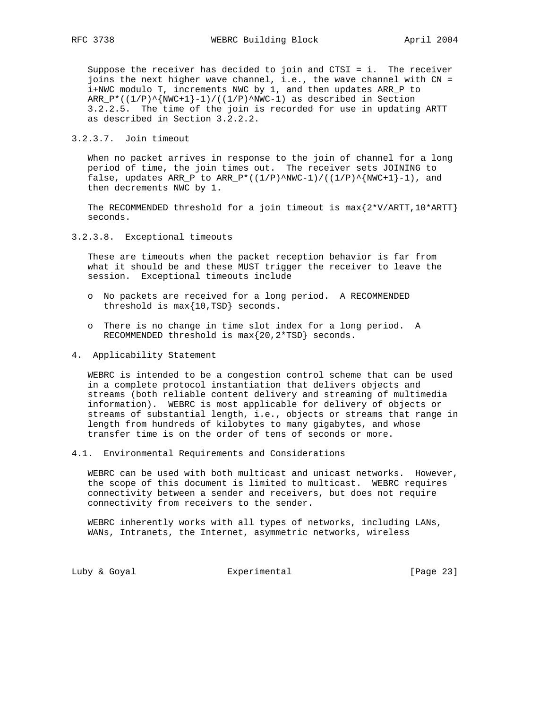Suppose the receiver has decided to join and CTSI = i. The receiver joins the next higher wave channel, i.e., the wave channel with CN = i+NWC modulo T, increments NWC by 1, and then updates ARR\_P to  $ARR_P*( (1/P)^{\text{NWC}+1}-1)/((1/P)^{\text{NWC}-1})$  as described in Section 3.2.2.5. The time of the join is recorded for use in updating ARTT as described in Section 3.2.2.2.

3.2.3.7. Join timeout

 When no packet arrives in response to the join of channel for a long period of time, the join times out. The receiver sets JOINING to false, updates ARR\_P to ARR\_P\*( $(1/P)^\wedge NWC-1$ )/( $(1/P)^\wedge NWC+1$ }-1), and then decrements NWC by 1.

The RECOMMENDED threshold for a join timeout is  $max{2*V/ARTT,10*ART}$ seconds.

3.2.3.8. Exceptional timeouts

 These are timeouts when the packet reception behavior is far from what it should be and these MUST trigger the receiver to leave the session. Exceptional timeouts include

- o No packets are received for a long period. A RECOMMENDED threshold is max{10,TSD} seconds.
- o There is no change in time slot index for a long period. A RECOMMENDED threshold is max{20,2\*TSD} seconds.
- 4. Applicability Statement

 WEBRC is intended to be a congestion control scheme that can be used in a complete protocol instantiation that delivers objects and streams (both reliable content delivery and streaming of multimedia information). WEBRC is most applicable for delivery of objects or streams of substantial length, i.e., objects or streams that range in length from hundreds of kilobytes to many gigabytes, and whose transfer time is on the order of tens of seconds or more.

4.1. Environmental Requirements and Considerations

 WEBRC can be used with both multicast and unicast networks. However, the scope of this document is limited to multicast. WEBRC requires connectivity between a sender and receivers, but does not require connectivity from receivers to the sender.

 WEBRC inherently works with all types of networks, including LANs, WANs, Intranets, the Internet, asymmetric networks, wireless

Luby & Goyal **Experimental** Experimental [Page 23]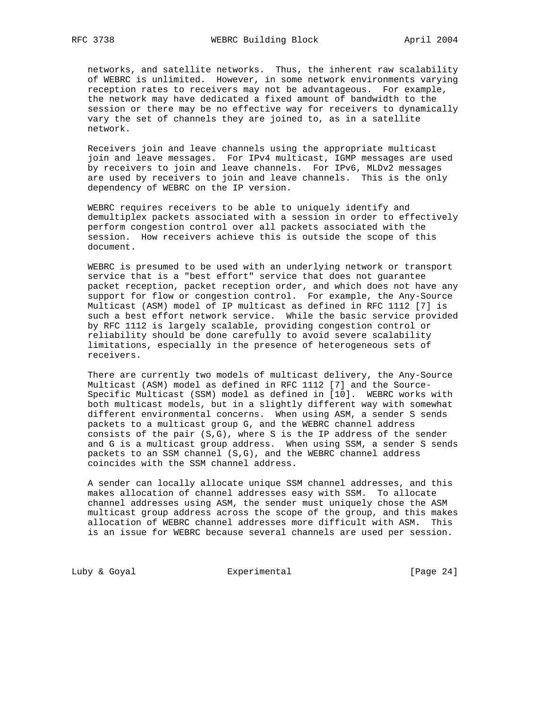networks, and satellite networks. Thus, the inherent raw scalability of WEBRC is unlimited. However, in some network environments varying reception rates to receivers may not be advantageous. For example, the network may have dedicated a fixed amount of bandwidth to the session or there may be no effective way for receivers to dynamically vary the set of channels they are joined to, as in a satellite network.

 Receivers join and leave channels using the appropriate multicast join and leave messages. For IPv4 multicast, IGMP messages are used by receivers to join and leave channels. For IPv6, MLDv2 messages are used by receivers to join and leave channels. This is the only dependency of WEBRC on the IP version.

 WEBRC requires receivers to be able to uniquely identify and demultiplex packets associated with a session in order to effectively perform congestion control over all packets associated with the session. How receivers achieve this is outside the scope of this document.

 WEBRC is presumed to be used with an underlying network or transport service that is a "best effort" service that does not guarantee packet reception, packet reception order, and which does not have any support for flow or congestion control. For example, the Any-Source Multicast (ASM) model of IP multicast as defined in RFC 1112 [7] is such a best effort network service. While the basic service provided by RFC 1112 is largely scalable, providing congestion control or reliability should be done carefully to avoid severe scalability limitations, especially in the presence of heterogeneous sets of receivers.

 There are currently two models of multicast delivery, the Any-Source Multicast (ASM) model as defined in RFC 1112 [7] and the Source- Specific Multicast (SSM) model as defined in [10]. WEBRC works with both multicast models, but in a slightly different way with somewhat different environmental concerns. When using ASM, a sender S sends packets to a multicast group G, and the WEBRC channel address consists of the pair  $(S,G)$ , where S is the IP address of the sender and G is a multicast group address. When using SSM, a sender S sends packets to an SSM channel (S,G), and the WEBRC channel address coincides with the SSM channel address.

 A sender can locally allocate unique SSM channel addresses, and this makes allocation of channel addresses easy with SSM. To allocate channel addresses using ASM, the sender must uniquely chose the ASM multicast group address across the scope of the group, and this makes allocation of WEBRC channel addresses more difficult with ASM. This is an issue for WEBRC because several channels are used per session.

Luby & Goyal **Experimental** Experimental [Page 24]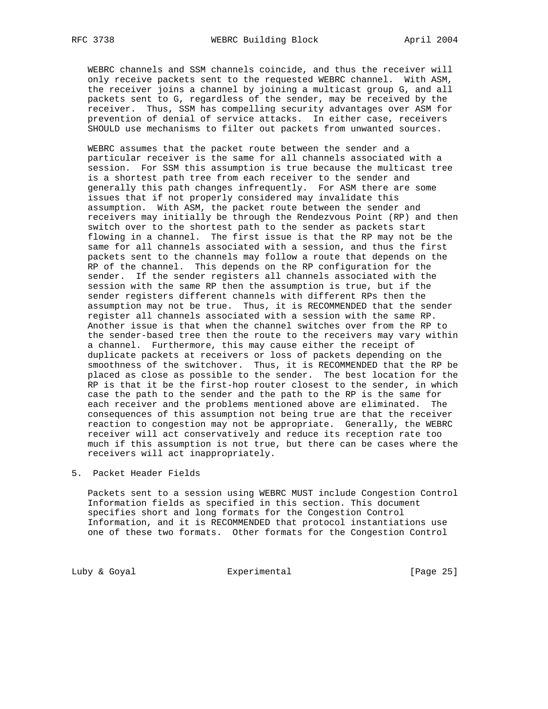WEBRC channels and SSM channels coincide, and thus the receiver will only receive packets sent to the requested WEBRC channel. With ASM, the receiver joins a channel by joining a multicast group G, and all packets sent to G, regardless of the sender, may be received by the receiver. Thus, SSM has compelling security advantages over ASM for prevention of denial of service attacks. In either case, receivers SHOULD use mechanisms to filter out packets from unwanted sources.

 WEBRC assumes that the packet route between the sender and a particular receiver is the same for all channels associated with a session. For SSM this assumption is true because the multicast tree is a shortest path tree from each receiver to the sender and generally this path changes infrequently. For ASM there are some issues that if not properly considered may invalidate this assumption. With ASM, the packet route between the sender and receivers may initially be through the Rendezvous Point (RP) and then switch over to the shortest path to the sender as packets start flowing in a channel. The first issue is that the RP may not be the same for all channels associated with a session, and thus the first packets sent to the channels may follow a route that depends on the RP of the channel. This depends on the RP configuration for the sender. If the sender registers all channels associated with the session with the same RP then the assumption is true, but if the sender registers different channels with different RPs then the assumption may not be true. Thus, it is RECOMMENDED that the sender register all channels associated with a session with the same RP. Another issue is that when the channel switches over from the RP to the sender-based tree then the route to the receivers may vary within a channel. Furthermore, this may cause either the receipt of duplicate packets at receivers or loss of packets depending on the smoothness of the switchover. Thus, it is RECOMMENDED that the RP be placed as close as possible to the sender. The best location for the RP is that it be the first-hop router closest to the sender, in which case the path to the sender and the path to the RP is the same for each receiver and the problems mentioned above are eliminated. The consequences of this assumption not being true are that the receiver reaction to congestion may not be appropriate. Generally, the WEBRC receiver will act conservatively and reduce its reception rate too much if this assumption is not true, but there can be cases where the receivers will act inappropriately.

## 5. Packet Header Fields

 Packets sent to a session using WEBRC MUST include Congestion Control Information fields as specified in this section. This document specifies short and long formats for the Congestion Control Information, and it is RECOMMENDED that protocol instantiations use one of these two formats. Other formats for the Congestion Control

Luby & Goyal **Experimental** Experimental [Page 25]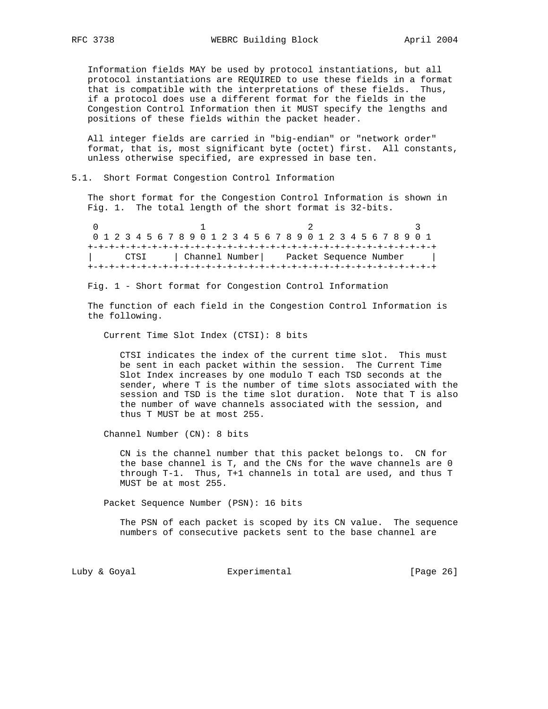Information fields MAY be used by protocol instantiations, but all protocol instantiations are REQUIRED to use these fields in a format that is compatible with the interpretations of these fields. Thus, if a protocol does use a different format for the fields in the Congestion Control Information then it MUST specify the lengths and positions of these fields within the packet header.

 All integer fields are carried in "big-endian" or "network order" format, that is, most significant byte (octet) first. All constants, unless otherwise specified, are expressed in base ten.

## 5.1. Short Format Congestion Control Information

 The short format for the Congestion Control Information is shown in Fig. 1. The total length of the short format is 32-bits.

0  $1$  2 3 0 1 2 3 4 5 6 7 8 9 0 1 2 3 4 5 6 7 8 9 0 1 2 3 4 5 6 7 8 9 0 1 +-+-+-+-+-+-+-+-+-+-+-+-+-+-+-+-+-+-+-+-+-+-+-+-+-+-+-+-+-+-+-+-+ | CTSI | Channel Number| Packet Sequence Number | +-+-+-+-+-+-+-+-+-+-+-+-+-+-+-+-+-+-+-+-+-+-+-+-+-+-+-+-+-+-+-+-+

Fig. 1 - Short format for Congestion Control Information

 The function of each field in the Congestion Control Information is the following.

Current Time Slot Index (CTSI): 8 bits

 CTSI indicates the index of the current time slot. This must be sent in each packet within the session. The Current Time Slot Index increases by one modulo T each TSD seconds at the sender, where T is the number of time slots associated with the session and TSD is the time slot duration. Note that T is also the number of wave channels associated with the session, and thus T MUST be at most 255.

Channel Number (CN): 8 bits

 CN is the channel number that this packet belongs to. CN for the base channel is T, and the CNs for the wave channels are 0 through T-1. Thus, T+1 channels in total are used, and thus T MUST be at most 255.

Packet Sequence Number (PSN): 16 bits

 The PSN of each packet is scoped by its CN value. The sequence numbers of consecutive packets sent to the base channel are

Luby & Goyal **Experimental** Experimental [Page 26]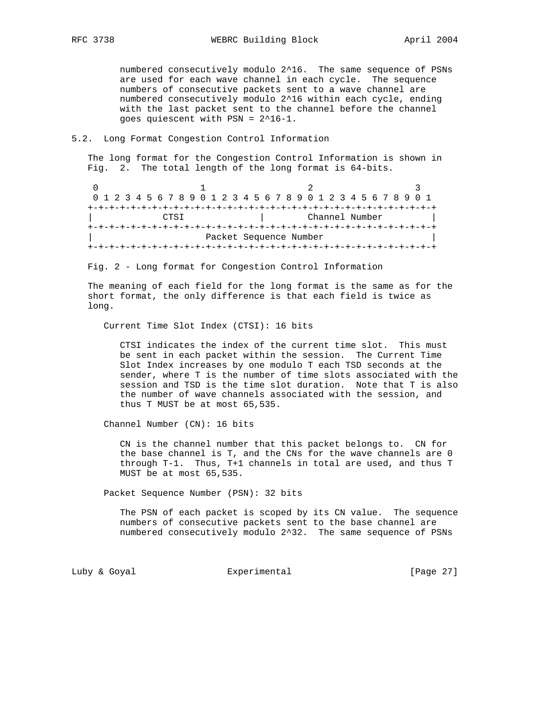numbered consecutively modulo 2^16. The same sequence of PSNs are used for each wave channel in each cycle. The sequence numbers of consecutive packets sent to a wave channel are numbered consecutively modulo 2^16 within each cycle, ending with the last packet sent to the channel before the channel goes quiescent with PSN = 2^16-1.

#### 5.2. Long Format Congestion Control Information

 The long format for the Congestion Control Information is shown in Fig. 2. The total length of the long format is 64-bits.

0  $1$  2 3 0 1 2 3 4 5 6 7 8 9 0 1 2 3 4 5 6 7 8 9 0 1 2 3 4 5 6 7 8 9 0 1 +-+-+-+-+-+-+-+-+-+-+-+-+-+-+-+-+-+-+-+-+-+-+-+-+-+-+-+-+-+-+-+-+ | Channel Number +-+-+-+-+-+-+-+-+-+-+-+-+-+-+-+-+-+-+-+-+-+-+-+-+-+-+-+-+-+-+-+-+ Packet Sequence Number +-+-+-+-+-+-+-+-+-+-+-+-+-+-+-+-+-+-+-+-+-+-+-+-+-+-+-+-+-+-+-+-+

Fig. 2 - Long format for Congestion Control Information

 The meaning of each field for the long format is the same as for the short format, the only difference is that each field is twice as long.

Current Time Slot Index (CTSI): 16 bits

 CTSI indicates the index of the current time slot. This must be sent in each packet within the session. The Current Time Slot Index increases by one modulo T each TSD seconds at the sender, where T is the number of time slots associated with the session and TSD is the time slot duration. Note that T is also the number of wave channels associated with the session, and thus T MUST be at most 65,535.

Channel Number (CN): 16 bits

 CN is the channel number that this packet belongs to. CN for the base channel is T, and the CNs for the wave channels are 0 through T-1. Thus, T+1 channels in total are used, and thus T MUST be at most 65,535.

Packet Sequence Number (PSN): 32 bits

 The PSN of each packet is scoped by its CN value. The sequence numbers of consecutive packets sent to the base channel are numbered consecutively modulo 2^32. The same sequence of PSNs

Luby & Goyal **Experimental** Experimental [Page 27]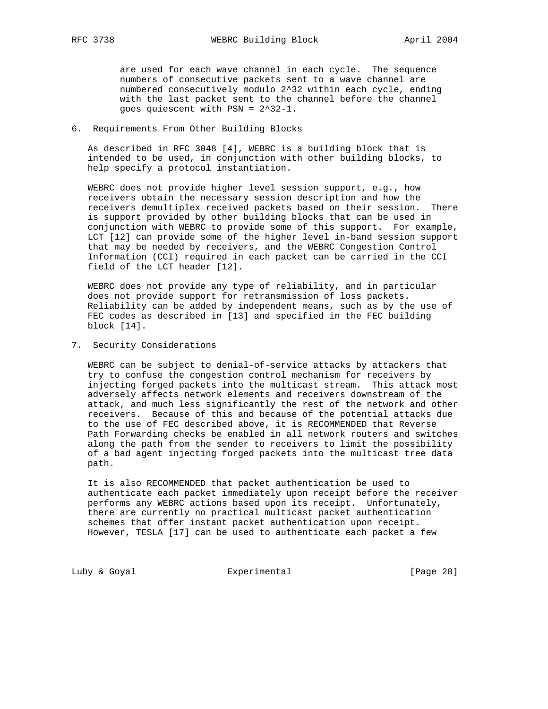are used for each wave channel in each cycle. The sequence numbers of consecutive packets sent to a wave channel are numbered consecutively modulo 2^32 within each cycle, ending with the last packet sent to the channel before the channel goes quiescent with PSN = 2^32-1.

#### 6. Requirements From Other Building Blocks

 As described in RFC 3048 [4], WEBRC is a building block that is intended to be used, in conjunction with other building blocks, to help specify a protocol instantiation.

 WEBRC does not provide higher level session support, e.g., how receivers obtain the necessary session description and how the receivers demultiplex received packets based on their session. There is support provided by other building blocks that can be used in conjunction with WEBRC to provide some of this support. For example, LCT [12] can provide some of the higher level in-band session support that may be needed by receivers, and the WEBRC Congestion Control Information (CCI) required in each packet can be carried in the CCI field of the LCT header [12].

 WEBRC does not provide any type of reliability, and in particular does not provide support for retransmission of loss packets. Reliability can be added by independent means, such as by the use of FEC codes as described in [13] and specified in the FEC building block [14].

7. Security Considerations

 WEBRC can be subject to denial-of-service attacks by attackers that try to confuse the congestion control mechanism for receivers by injecting forged packets into the multicast stream. This attack most adversely affects network elements and receivers downstream of the attack, and much less significantly the rest of the network and other receivers. Because of this and because of the potential attacks due to the use of FEC described above, it is RECOMMENDED that Reverse Path Forwarding checks be enabled in all network routers and switches along the path from the sender to receivers to limit the possibility of a bad agent injecting forged packets into the multicast tree data path.

 It is also RECOMMENDED that packet authentication be used to authenticate each packet immediately upon receipt before the receiver performs any WEBRC actions based upon its receipt. Unfortunately, there are currently no practical multicast packet authentication schemes that offer instant packet authentication upon receipt. However, TESLA [17] can be used to authenticate each packet a few

Luby & Goyal **Experimental** Experimental [Page 28]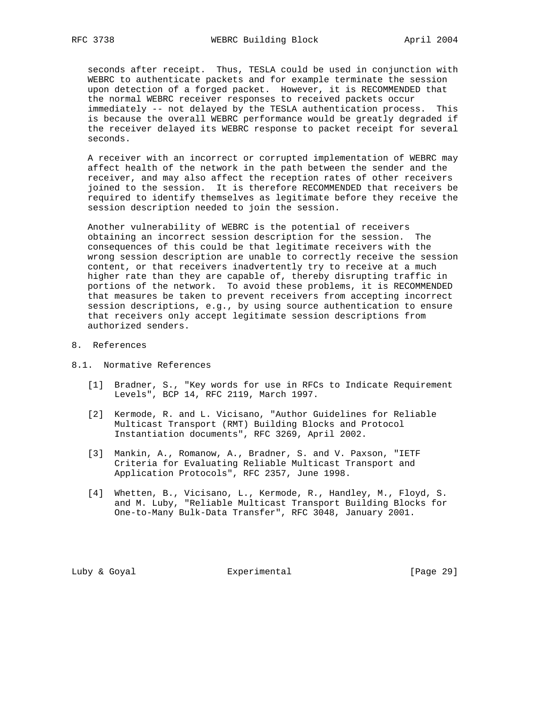seconds after receipt. Thus, TESLA could be used in conjunction with WEBRC to authenticate packets and for example terminate the session upon detection of a forged packet. However, it is RECOMMENDED that the normal WEBRC receiver responses to received packets occur immediately -- not delayed by the TESLA authentication process. This is because the overall WEBRC performance would be greatly degraded if the receiver delayed its WEBRC response to packet receipt for several seconds.

 A receiver with an incorrect or corrupted implementation of WEBRC may affect health of the network in the path between the sender and the receiver, and may also affect the reception rates of other receivers joined to the session. It is therefore RECOMMENDED that receivers be required to identify themselves as legitimate before they receive the session description needed to join the session.

 Another vulnerability of WEBRC is the potential of receivers obtaining an incorrect session description for the session. The consequences of this could be that legitimate receivers with the wrong session description are unable to correctly receive the session content, or that receivers inadvertently try to receive at a much higher rate than they are capable of, thereby disrupting traffic in portions of the network. To avoid these problems, it is RECOMMENDED that measures be taken to prevent receivers from accepting incorrect session descriptions, e.g., by using source authentication to ensure that receivers only accept legitimate session descriptions from authorized senders.

- 8. References
- 8.1. Normative References
	- [1] Bradner, S., "Key words for use in RFCs to Indicate Requirement Levels", BCP 14, RFC 2119, March 1997.
	- [2] Kermode, R. and L. Vicisano, "Author Guidelines for Reliable Multicast Transport (RMT) Building Blocks and Protocol Instantiation documents", RFC 3269, April 2002.
	- [3] Mankin, A., Romanow, A., Bradner, S. and V. Paxson, "IETF Criteria for Evaluating Reliable Multicast Transport and Application Protocols", RFC 2357, June 1998.
	- [4] Whetten, B., Vicisano, L., Kermode, R., Handley, M., Floyd, S. and M. Luby, "Reliable Multicast Transport Building Blocks for One-to-Many Bulk-Data Transfer", RFC 3048, January 2001.

Luby & Goyal **Experimental** Experimental [Page 29]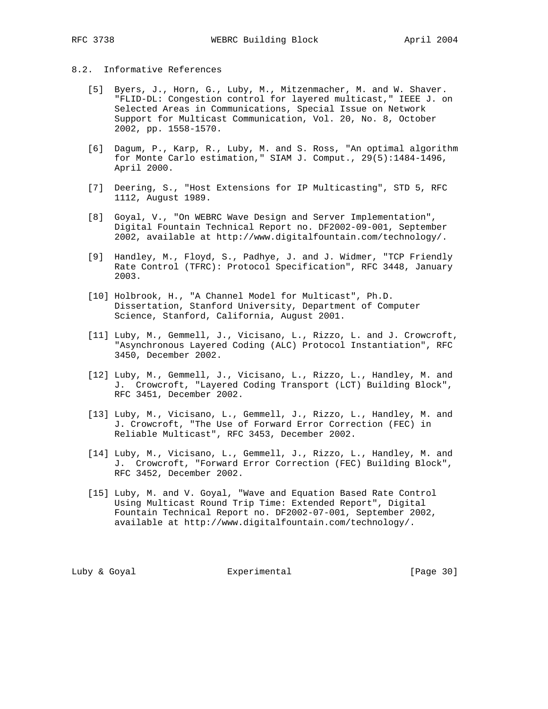## 8.2. Informative References

- [5] Byers, J., Horn, G., Luby, M., Mitzenmacher, M. and W. Shaver. "FLID-DL: Congestion control for layered multicast," IEEE J. on Selected Areas in Communications, Special Issue on Network Support for Multicast Communication, Vol. 20, No. 8, October 2002, pp. 1558-1570.
- [6] Dagum, P., Karp, R., Luby, M. and S. Ross, "An optimal algorithm for Monte Carlo estimation," SIAM J. Comput., 29(5):1484-1496, April 2000.
- [7] Deering, S., "Host Extensions for IP Multicasting", STD 5, RFC 1112, August 1989.
- [8] Goyal, V., "On WEBRC Wave Design and Server Implementation", Digital Fountain Technical Report no. DF2002-09-001, September 2002, available at http://www.digitalfountain.com/technology/.
- [9] Handley, M., Floyd, S., Padhye, J. and J. Widmer, "TCP Friendly Rate Control (TFRC): Protocol Specification", RFC 3448, January 2003.
- [10] Holbrook, H., "A Channel Model for Multicast", Ph.D. Dissertation, Stanford University, Department of Computer Science, Stanford, California, August 2001.
- [11] Luby, M., Gemmell, J., Vicisano, L., Rizzo, L. and J. Crowcroft, "Asynchronous Layered Coding (ALC) Protocol Instantiation", RFC 3450, December 2002.
- [12] Luby, M., Gemmell, J., Vicisano, L., Rizzo, L., Handley, M. and J. Crowcroft, "Layered Coding Transport (LCT) Building Block", RFC 3451, December 2002.
- [13] Luby, M., Vicisano, L., Gemmell, J., Rizzo, L., Handley, M. and J. Crowcroft, "The Use of Forward Error Correction (FEC) in Reliable Multicast", RFC 3453, December 2002.
- [14] Luby, M., Vicisano, L., Gemmell, J., Rizzo, L., Handley, M. and J. Crowcroft, "Forward Error Correction (FEC) Building Block", RFC 3452, December 2002.
- [15] Luby, M. and V. Goyal, "Wave and Equation Based Rate Control Using Multicast Round Trip Time: Extended Report", Digital Fountain Technical Report no. DF2002-07-001, September 2002, available at http://www.digitalfountain.com/technology/.

Luby & Goyal **Experimental** Experimental [Page 30]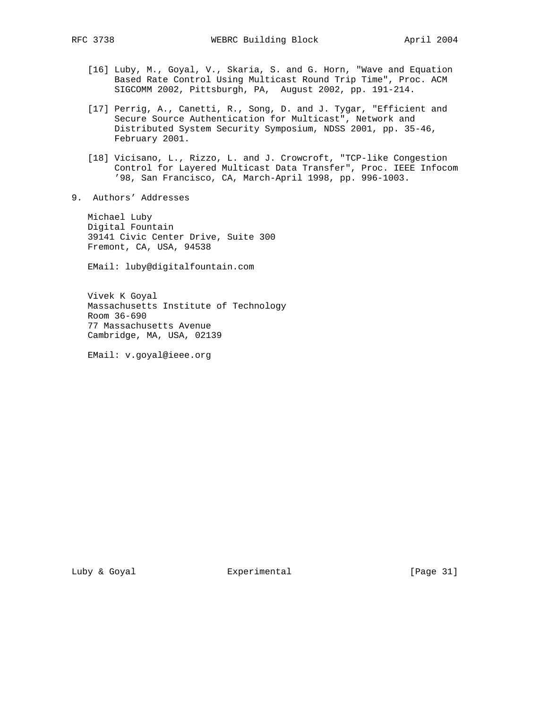- [16] Luby, M., Goyal, V., Skaria, S. and G. Horn, "Wave and Equation Based Rate Control Using Multicast Round Trip Time", Proc. ACM SIGCOMM 2002, Pittsburgh, PA, August 2002, pp. 191-214.
- [17] Perrig, A., Canetti, R., Song, D. and J. Tygar, "Efficient and Secure Source Authentication for Multicast", Network and Distributed System Security Symposium, NDSS 2001, pp. 35-46, February 2001.
- [18] Vicisano, L., Rizzo, L. and J. Crowcroft, "TCP-like Congestion Control for Layered Multicast Data Transfer", Proc. IEEE Infocom '98, San Francisco, CA, March-April 1998, pp. 996-1003.
- 9. Authors' Addresses

 Michael Luby Digital Fountain 39141 Civic Center Drive, Suite 300 Fremont, CA, USA, 94538

EMail: luby@digitalfountain.com

 Vivek K Goyal Massachusetts Institute of Technology Room 36-690 77 Massachusetts Avenue Cambridge, MA, USA, 02139

EMail: v.goyal@ieee.org

Luby & Goyal **Experimental** Experimental [Page 31]